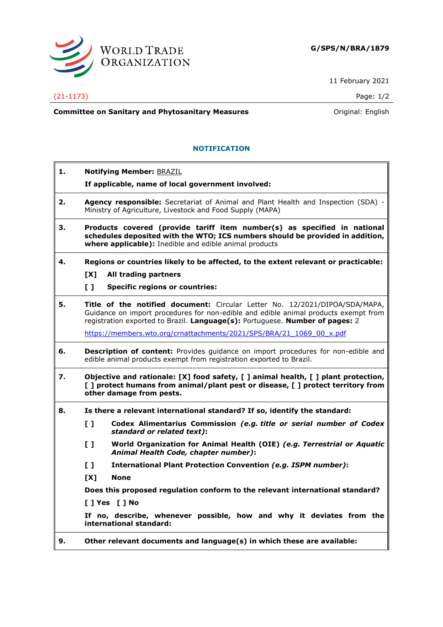

11 February 2021

## (21-1173) Page: 1/2

**Committee on Sanitary and Phytosanitary Measures Committee on Sanitary and Phytosanitary Measures Committee And American** 

## **NOTIFICATION**

**1. Notifying Member:** BRAZIL **If applicable, name of local government involved: 2. Agency responsible:** Secretariat of Animal and Plant Health and Inspection (SDA) - Ministry of Agriculture, Livestock and Food Supply (MAPA) **3. Products covered (provide tariff item number(s) as specified in national schedules deposited with the WTO; ICS numbers should be provided in addition, where applicable):** Inedible and edible animal products **4. Regions or countries likely to be affected, to the extent relevant or practicable: [X] All trading partners [ ] Specific regions or countries: 5. Title of the notified document:** Circular Letter No. 12/2021/DIPOA/SDA/MAPA, Guidance on import procedures for non-edible and edible animal products exempt from registration exported to Brazil. **Language(s):** Portuguese. **Number of pages:** 2 [https://members.wto.org/crnattachments/2021/SPS/BRA/21\\_1069\\_00\\_x.pdf](https://members.wto.org/crnattachments/2021/SPS/BRA/21_1069_00_x.pdf) **6. Description of content:** Provides guidance on import procedures for non-edible and edible animal products exempt from registration exported to Brazil. **7. Objective and rationale: [X] food safety, [ ] animal health, [ ] plant protection, [ ] protect humans from animal/plant pest or disease, [ ] protect territory from other damage from pests. 8. Is there a relevant international standard? If so, identify the standard: [ ] Codex Alimentarius Commission** *(e.g. title or serial number of Codex standard or related text)***: [ ] World Organization for Animal Health (OIE)** *(e.g. Terrestrial or Aquatic Animal Health Code, chapter number)***: [ ] International Plant Protection Convention** *(e.g. ISPM number)***: [X] None Does this proposed regulation conform to the relevant international standard? [ ] Yes [ ] No If no, describe, whenever possible, how and why it deviates from the international standard: 9. Other relevant documents and language(s) in which these are available:**